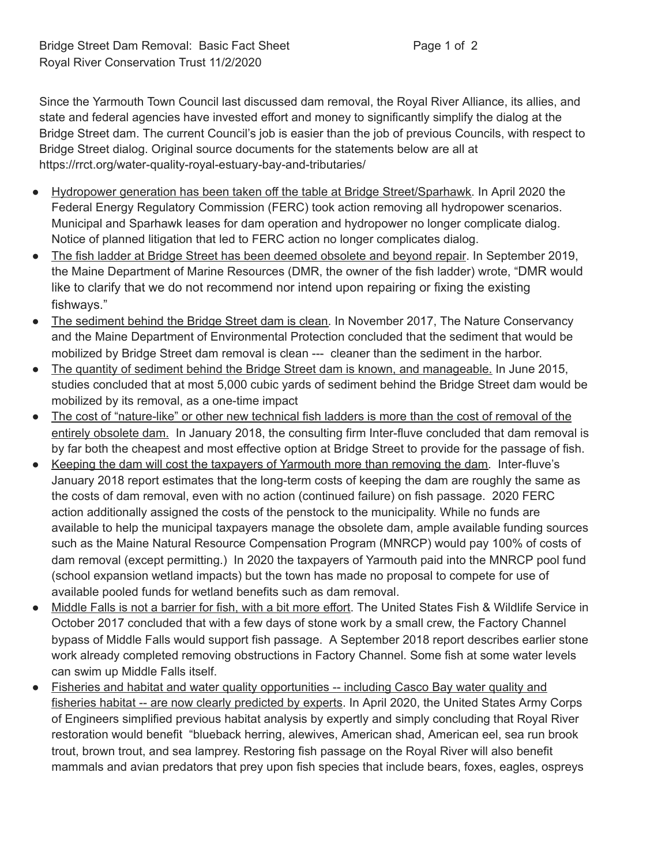Since the Yarmouth Town Council last discussed dam removal, the Royal River Alliance, its allies, and state and federal agencies have invested effort and money to significantly simplify the dialog at the Bridge Street dam. The current Council's job is easier than the job of previous Councils, with respect to Bridge Street dialog. Original source documents for the statements below are all at https://rrct.org/water-quality-royal-estuary-bay-and-tributaries/

- Hydropower generation has been taken off the table at Bridge Street/Sparhawk. In April 2020 the Federal Energy Regulatory Commission (FERC) took action removing all hydropower scenarios. Municipal and Sparhawk leases for dam operation and hydropower no longer complicate dialog. Notice of planned litigation that led to FERC action no longer complicates dialog.
- The fish ladder at Bridge Street has been deemed obsolete and beyond repair. In September 2019, the Maine Department of Marine Resources (DMR, the owner of the fish ladder) wrote, "DMR would like to clarify that we do not recommend nor intend upon repairing or fixing the existing fishways."
- The sediment behind the Bridge Street dam is clean. In November 2017, The Nature Conservancy and the Maine Department of Environmental Protection concluded that the sediment that would be mobilized by Bridge Street dam removal is clean --- cleaner than the sediment in the harbor.
- The quantity of sediment behind the Bridge Street dam is known, and manageable. In June 2015, studies concluded that at most 5,000 cubic yards of sediment behind the Bridge Street dam would be mobilized by its removal, as a one-time impact
- The cost of "nature-like" or other new technical fish ladders is more than the cost of removal of the entirely obsolete dam. In January 2018, the consulting firm Inter-fluve concluded that dam removal is by far both the cheapest and most effective option at Bridge Street to provide for the passage of fish.
- Keeping the dam will cost the taxpayers of Yarmouth more than removing the dam. Inter-fluve's January 2018 report estimates that the long-term costs of keeping the dam are roughly the same as the costs of dam removal, even with no action (continued failure) on fish passage. 2020 FERC action additionally assigned the costs of the penstock to the municipality. While no funds are available to help the municipal taxpayers manage the obsolete dam, ample available funding sources such as the Maine Natural Resource Compensation Program (MNRCP) would pay 100% of costs of dam removal (except permitting.) In 2020 the taxpayers of Yarmouth paid into the MNRCP pool fund (school expansion wetland impacts) but the town has made no proposal to compete for use of available pooled funds for wetland benefits such as dam removal.
- Middle Falls is not a barrier for fish, with a bit more effort. The United States Fish & Wildlife Service in October 2017 concluded that with a few days of stone work by a small crew, the Factory Channel bypass of Middle Falls would support fish passage. A September 2018 report describes earlier stone work already completed removing obstructions in Factory Channel. Some fish at some water levels can swim up Middle Falls itself.
- Fisheries and habitat and water quality opportunities -- including Casco Bay water quality and fisheries habitat -- are now clearly predicted by experts. In April 2020, the United States Army Corps of Engineers simplified previous habitat analysis by expertly and simply concluding that Royal River restoration would benefit "blueback herring, alewives, American shad, American eel, sea run brook trout, brown trout, and sea lamprey. Restoring fish passage on the Royal River will also benefit mammals and avian predators that prey upon fish species that include bears, foxes, eagles, ospreys